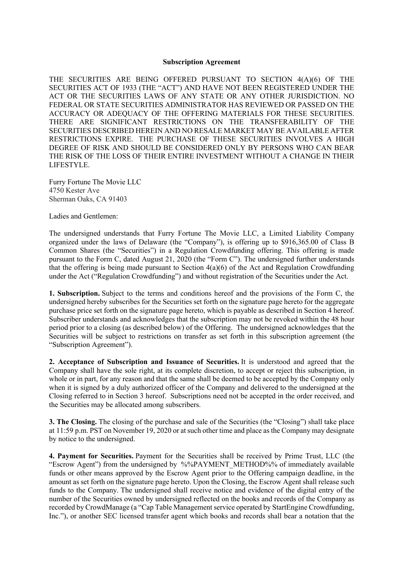#### **Subscription Agreement**

THE SECURITIES ARE BEING OFFERED PURSUANT TO SECTION 4(A)(6) OF THE SECURITIES ACT OF 1933 (THE "ACT") AND HAVE NOT BEEN REGISTERED UNDER THE ACT OR THE SECURITIES LAWS OF ANY STATE OR ANY OTHER JURISDICTION. NO FEDERAL OR STATE SECURITIES ADMINISTRATOR HAS REVIEWED OR PASSED ON THE ACCURACY OR ADEQUACY OF THE OFFERING MATERIALS FOR THESE SECURITIES. THERE ARE SIGNIFICANT RESTRICTIONS ON THE TRANSFERABILITY OF THE SECURITIES DESCRIBED HEREIN AND NO RESALE MARKET MAY BE AVAILABLE AFTER RESTRICTIONS EXPIRE. THE PURCHASE OF THESE SECURITIES INVOLVES A HIGH DEGREE OF RISK AND SHOULD BE CONSIDERED ONLY BY PERSONS WHO CAN BEAR THE RISK OF THE LOSS OF THEIR ENTIRE INVESTMENT WITHOUT A CHANGE IN THEIR LIFESTYLE.

Furry Fortune The Movie LLC 4750 Kester Ave Sherman Oaks, CA 91403

Ladies and Gentlemen:

The undersigned understands that Furry Fortune The Movie LLC, a Limited Liability Company organized under the laws of Delaware (the "Company"), is offering up to \$916,365.00 of Class B Common Shares (the "Securities") in a Regulation Crowdfunding offering. This offering is made pursuant to the Form C, dated August 21, 2020 (the "Form C"). The undersigned further understands that the offering is being made pursuant to Section  $4(a)(6)$  of the Act and Regulation Crowdfunding under the Act ("Regulation Crowdfunding") and without registration of the Securities under the Act.

**1. Subscription.** Subject to the terms and conditions hereof and the provisions of the Form C, the undersigned hereby subscribes for the Securities set forth on the signature page hereto for the aggregate purchase price set forth on the signature page hereto, which is payable as described in Section 4 hereof. Subscriber understands and acknowledges that the subscription may not be revoked within the 48 hour period prior to a closing (as described below) of the Offering. The undersigned acknowledges that the Securities will be subject to restrictions on transfer as set forth in this subscription agreement (the "Subscription Agreement").

**2. Acceptance of Subscription and Issuance of Securities.** It is understood and agreed that the Company shall have the sole right, at its complete discretion, to accept or reject this subscription, in whole or in part, for any reason and that the same shall be deemed to be accepted by the Company only when it is signed by a duly authorized officer of the Company and delivered to the undersigned at the Closing referred to in Section 3 hereof. Subscriptions need not be accepted in the order received, and the Securities may be allocated among subscribers.

**3. The Closing.** The closing of the purchase and sale of the Securities (the "Closing") shall take place at 11:59 p.m. PST on November 19, 2020 or at such other time and place as the Company may designate by notice to the undersigned.

**4. Payment for Securities.** Payment for the Securities shall be received by Prime Trust, LLC (the "Escrow Agent") from the undersigned by %%PAYMENT\_METHOD%% of immediately available funds or other means approved by the Escrow Agent prior to the Offering campaign deadline, in the amount as set forth on the signature page hereto. Upon the Closing, the Escrow Agent shall release such funds to the Company. The undersigned shall receive notice and evidence of the digital entry of the number of the Securities owned by undersigned reflected on the books and records of the Company as recorded by CrowdManage (a "Cap Table Management service operated by StartEngine Crowdfunding, Inc."), or another SEC licensed transfer agent which books and records shall bear a notation that the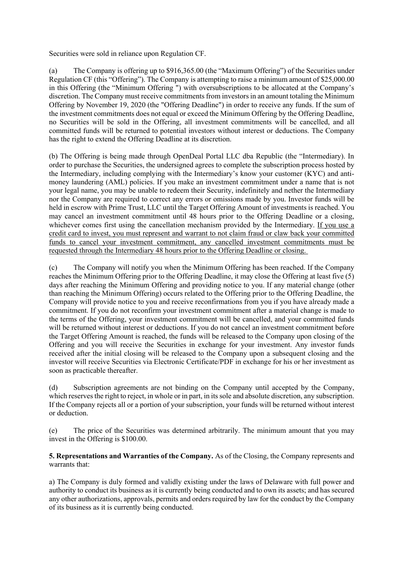Securities were sold in reliance upon Regulation CF.

(a) The Company is offering up to \$916,365.00 (the "Maximum Offering") of the Securities under Regulation CF (this "Offering"). The Company is attempting to raise a minimum amount of \$25,000.00 in this Offering (the "Minimum Offering ") with oversubscriptions to be allocated at the Company's discretion. The Company must receive commitments from investors in an amount totaling the Minimum Offering by November 19, 2020 (the "Offering Deadline") in order to receive any funds. If the sum of the investment commitments does not equal or exceed the Minimum Offering by the Offering Deadline, no Securities will be sold in the Offering, all investment commitments will be cancelled, and all committed funds will be returned to potential investors without interest or deductions. The Company has the right to extend the Offering Deadline at its discretion.

(b) The Offering is being made through OpenDeal Portal LLC dba Republic (the "Intermediary). In order to purchase the Securities, the undersigned agrees to complete the subscription process hosted by the Intermediary, including complying with the Intermediary's know your customer (KYC) and antimoney laundering (AML) policies. If you make an investment commitment under a name that is not your legal name, you may be unable to redeem their Security, indefinitely and nether the Intermediary nor the Company are required to correct any errors or omissions made by you. Investor funds will be held in escrow with Prime Trust, LLC until the Target Offering Amount of investments is reached. You may cancel an investment commitment until 48 hours prior to the Offering Deadline or a closing, whichever comes first using the cancellation mechanism provided by the Intermediary. If you use a credit card to invest, you must represent and warrant to not claim fraud or claw back your committed funds to cancel your investment commitment, any cancelled investment commitments must be requested through the Intermediary 48 hours prior to the Offering Deadline or closing.

(c) The Company will notify you when the Minimum Offering has been reached. If the Company reaches the Minimum Offering prior to the Offering Deadline, it may close the Offering at least five (5) days after reaching the Minimum Offering and providing notice to you. If any material change (other than reaching the Minimum Offering) occurs related to the Offering prior to the Offering Deadline, the Company will provide notice to you and receive reconfirmations from you if you have already made a commitment. If you do not reconfirm your investment commitment after a material change is made to the terms of the Offering, your investment commitment will be cancelled, and your committed funds will be returned without interest or deductions. If you do not cancel an investment commitment before the Target Offering Amount is reached, the funds will be released to the Company upon closing of the Offering and you will receive the Securities in exchange for your investment. Any investor funds received after the initial closing will be released to the Company upon a subsequent closing and the investor will receive Securities via Electronic Certificate/PDF in exchange for his or her investment as soon as practicable thereafter.

(d) Subscription agreements are not binding on the Company until accepted by the Company, which reserves the right to reject, in whole or in part, in its sole and absolute discretion, any subscription. If the Company rejects all or a portion of your subscription, your funds will be returned without interest or deduction.

(e) The price of the Securities was determined arbitrarily. The minimum amount that you may invest in the Offering is \$100.00.

**5. Representations and Warranties of the Company.** As of the Closing, the Company represents and warrants that:

a) The Company is duly formed and validly existing under the laws of Delaware with full power and authority to conduct its business as it is currently being conducted and to own its assets; and has secured any other authorizations, approvals, permits and orders required by law for the conduct by the Company of its business as it is currently being conducted.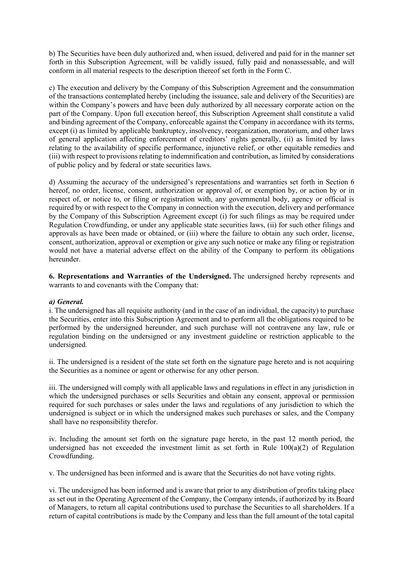b) The Securities have been duly authorized and, when issued, delivered and paid for in the manner set forth in this Subscription Agreement, will be validly issued, fully paid and nonassessable, and will conform in all material respects to the description thereof set forth in the Form C.

c) The execution and delivery by the Company of this Subscription Agreement and the consummation of the transactions contemplated hereby (including the issuance, sale and delivery of the Securities) are within the Company's powers and have been duly authorized by all necessary corporate action on the part of the Company. Upon full execution hereof, this Subscription Agreement shall constitute a valid and binding agreement of the Company, enforceable against the Company in accordance with its terms, except (i) as limited by applicable bankruptcy, insolvency, reorganization, moratorium, and other laws of general application affecting enforcement of creditors' rights generally, (ii) as limited by laws relating to the availability of specific performance, injunctive relief, or other equitable remedies and (iii) with respect to provisions relating to indemnification and contribution, as limited by considerations of public policy and by federal or state securities laws.

d) Assuming the accuracy of the undersigned's representations and warranties set forth in Section 6 hereof, no order, license, consent, authorization or approval of, or exemption by, or action by or in respect of, or notice to, or filing or registration with, any governmental body, agency or official is required by or with respect to the Company in connection with the execution, delivery and performance by the Company of this Subscription Agreement except (i) for such filings as may be required under Regulation Crowdfunding, or under any applicable state securities laws, (ii) for such other filings and approvals as have been made or obtained, or (iii) where the failure to obtain any such order, license, consent, authorization, approval or exemption or give any such notice or make any filing or registration would not have a material adverse effect on the ability of the Company to perform its obligations hereunder.

**6. Representations and Warranties of the Undersigned.** The undersigned hereby represents and warrants to and covenants with the Company that:

### *a) General.*

i. The undersigned has all requisite authority (and in the case of an individual, the capacity) to purchase the Securities, enter into this Subscription Agreement and to perform all the obligations required to be performed by the undersigned hereunder, and such purchase will not contravene any law, rule or regulation binding on the undersigned or any investment guideline or restriction applicable to the undersigned.

ii. The undersigned is a resident of the state set forth on the signature page hereto and is not acquiring the Securities as a nominee or agent or otherwise for any other person.

iii. The undersigned will comply with all applicable laws and regulations in effect in any jurisdiction in which the undersigned purchases or sells Securities and obtain any consent, approval or permission required for such purchases or sales under the laws and regulations of any jurisdiction to which the undersigned is subject or in which the undersigned makes such purchases or sales, and the Company shall have no responsibility therefor.

iv. Including the amount set forth on the signature page hereto, in the past 12 month period, the undersigned has not exceeded the investment limit as set forth in Rule  $100(a)(2)$  of Regulation Crowdfunding.

v. The undersigned has been informed and is aware that the Securities do not have voting rights.

vi. The undersigned has been informed and is aware that prior to any distribution of profits taking place as set out in the Operating Agreement of the Company, the Company intends, if authorized by its Board of Managers, to return all capital contributions used to purchase the Securities to all shareholders. If a return of capital contributions is made by the Company and less than the full amount of the total capital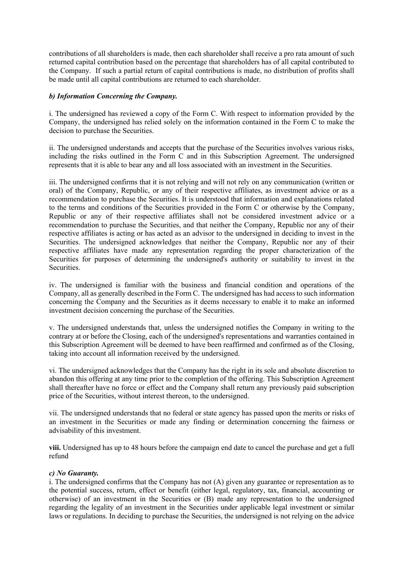contributions of all shareholders is made, then each shareholder shall receive a pro rata amount of such returned capital contribution based on the percentage that shareholders has of all capital contributed to the Company. If such a partial return of capital contributions is made, no distribution of profits shall be made until all capital contributions are returned to each shareholder.

## *b) Information Concerning the Company.*

i. The undersigned has reviewed a copy of the Form C. With respect to information provided by the Company, the undersigned has relied solely on the information contained in the Form C to make the decision to purchase the Securities.

ii. The undersigned understands and accepts that the purchase of the Securities involves various risks, including the risks outlined in the Form C and in this Subscription Agreement. The undersigned represents that it is able to bear any and all loss associated with an investment in the Securities.

iii. The undersigned confirms that it is not relying and will not rely on any communication (written or oral) of the Company, Republic, or any of their respective affiliates, as investment advice or as a recommendation to purchase the Securities. It is understood that information and explanations related to the terms and conditions of the Securities provided in the Form C or otherwise by the Company, Republic or any of their respective affiliates shall not be considered investment advice or a recommendation to purchase the Securities, and that neither the Company, Republic nor any of their respective affiliates is acting or has acted as an advisor to the undersigned in deciding to invest in the Securities. The undersigned acknowledges that neither the Company, Republic nor any of their respective affiliates have made any representation regarding the proper characterization of the Securities for purposes of determining the undersigned's authority or suitability to invest in the Securities.

iv. The undersigned is familiar with the business and financial condition and operations of the Company, all as generally described in the Form C. The undersigned has had access to such information concerning the Company and the Securities as it deems necessary to enable it to make an informed investment decision concerning the purchase of the Securities.

v. The undersigned understands that, unless the undersigned notifies the Company in writing to the contrary at or before the Closing, each of the undersigned's representations and warranties contained in this Subscription Agreement will be deemed to have been reaffirmed and confirmed as of the Closing, taking into account all information received by the undersigned.

vi. The undersigned acknowledges that the Company has the right in its sole and absolute discretion to abandon this offering at any time prior to the completion of the offering. This Subscription Agreement shall thereafter have no force or effect and the Company shall return any previously paid subscription price of the Securities, without interest thereon, to the undersigned.

vii. The undersigned understands that no federal or state agency has passed upon the merits or risks of an investment in the Securities or made any finding or determination concerning the fairness or advisability of this investment.

**viii.** Undersigned has up to 48 hours before the campaign end date to cancel the purchase and get a full refund

### *c) No Guaranty.*

i. The undersigned confirms that the Company has not (A) given any guarantee or representation as to the potential success, return, effect or benefit (either legal, regulatory, tax, financial, accounting or otherwise) of an investment in the Securities or (B) made any representation to the undersigned regarding the legality of an investment in the Securities under applicable legal investment or similar laws or regulations. In deciding to purchase the Securities, the undersigned is not relying on the advice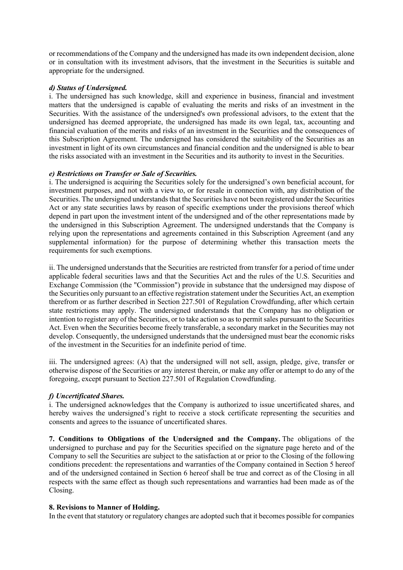or recommendations of the Company and the undersigned has made its own independent decision, alone or in consultation with its investment advisors, that the investment in the Securities is suitable and appropriate for the undersigned.

# *d) Status of Undersigned.*

i. The undersigned has such knowledge, skill and experience in business, financial and investment matters that the undersigned is capable of evaluating the merits and risks of an investment in the Securities. With the assistance of the undersigned's own professional advisors, to the extent that the undersigned has deemed appropriate, the undersigned has made its own legal, tax, accounting and financial evaluation of the merits and risks of an investment in the Securities and the consequences of this Subscription Agreement. The undersigned has considered the suitability of the Securities as an investment in light of its own circumstances and financial condition and the undersigned is able to bear the risks associated with an investment in the Securities and its authority to invest in the Securities.

# *e) Restrictions on Transfer or Sale of Securities.*

i. The undersigned is acquiring the Securities solely for the undersigned's own beneficial account, for investment purposes, and not with a view to, or for resale in connection with, any distribution of the Securities. The undersigned understands that the Securities have not been registered under the Securities Act or any state securities laws by reason of specific exemptions under the provisions thereof which depend in part upon the investment intent of the undersigned and of the other representations made by the undersigned in this Subscription Agreement. The undersigned understands that the Company is relying upon the representations and agreements contained in this Subscription Agreement (and any supplemental information) for the purpose of determining whether this transaction meets the requirements for such exemptions.

ii. The undersigned understands that the Securities are restricted from transfer for a period of time under applicable federal securities laws and that the Securities Act and the rules of the U.S. Securities and Exchange Commission (the "Commission") provide in substance that the undersigned may dispose of the Securities only pursuant to an effective registration statement under the Securities Act, an exemption therefrom or as further described in Section 227.501 of Regulation Crowdfunding, after which certain state restrictions may apply. The undersigned understands that the Company has no obligation or intention to register any of the Securities, or to take action so as to permit sales pursuant to the Securities Act. Even when the Securities become freely transferable, a secondary market in the Securities may not develop. Consequently, the undersigned understands that the undersigned must bear the economic risks of the investment in the Securities for an indefinite period of time.

iii. The undersigned agrees: (A) that the undersigned will not sell, assign, pledge, give, transfer or otherwise dispose of the Securities or any interest therein, or make any offer or attempt to do any of the foregoing, except pursuant to Section 227.501 of Regulation Crowdfunding.

# *f) Uncertificated Shares.*

i. The undersigned acknowledges that the Company is authorized to issue uncertificated shares, and hereby waives the undersigned's right to receive a stock certificate representing the securities and consents and agrees to the issuance of uncertificated shares.

**7. Conditions to Obligations of the Undersigned and the Company.** The obligations of the undersigned to purchase and pay for the Securities specified on the signature page hereto and of the Company to sell the Securities are subject to the satisfaction at or prior to the Closing of the following conditions precedent: the representations and warranties of the Company contained in Section 5 hereof and of the undersigned contained in Section 6 hereof shall be true and correct as of the Closing in all respects with the same effect as though such representations and warranties had been made as of the Closing.

### **8. Revisions to Manner of Holding.**

In the event that statutory or regulatory changes are adopted such that it becomes possible for companies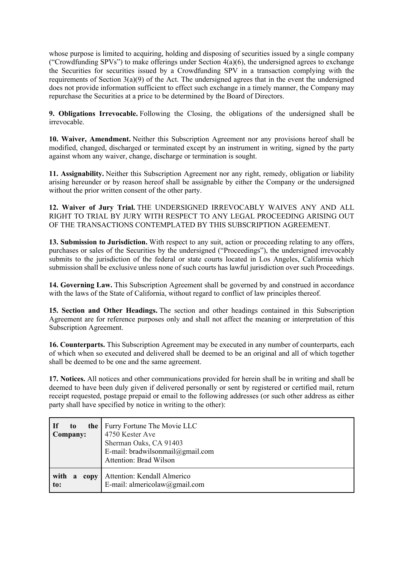whose purpose is limited to acquiring, holding and disposing of securities issued by a single company ("Crowdfunding SPVs") to make offerings under Section  $4(a)(6)$ , the undersigned agrees to exchange the Securities for securities issued by a Crowdfunding SPV in a transaction complying with the requirements of Section 3(a)(9) of the Act. The undersigned agrees that in the event the undersigned does not provide information sufficient to effect such exchange in a timely manner, the Company may repurchase the Securities at a price to be determined by the Board of Directors.

**9. Obligations Irrevocable.** Following the Closing, the obligations of the undersigned shall be irrevocable.

**10. Waiver, Amendment.** Neither this Subscription Agreement nor any provisions hereof shall be modified, changed, discharged or terminated except by an instrument in writing, signed by the party against whom any waiver, change, discharge or termination is sought.

**11. Assignability.** Neither this Subscription Agreement nor any right, remedy, obligation or liability arising hereunder or by reason hereof shall be assignable by either the Company or the undersigned without the prior written consent of the other party.

**12. Waiver of Jury Trial.** THE UNDERSIGNED IRREVOCABLY WAIVES ANY AND ALL RIGHT TO TRIAL BY JURY WITH RESPECT TO ANY LEGAL PROCEEDING ARISING OUT OF THE TRANSACTIONS CONTEMPLATED BY THIS SUBSCRIPTION AGREEMENT.

**13. Submission to Jurisdiction.** With respect to any suit, action or proceeding relating to any offers, purchases or sales of the Securities by the undersigned ("Proceedings"), the undersigned irrevocably submits to the jurisdiction of the federal or state courts located in Los Angeles, California which submission shall be exclusive unless none of such courts has lawful jurisdiction over such Proceedings.

**14. Governing Law.** This Subscription Agreement shall be governed by and construed in accordance with the laws of the State of California, without regard to conflict of law principles thereof.

**15. Section and Other Headings.** The section and other headings contained in this Subscription Agreement are for reference purposes only and shall not affect the meaning or interpretation of this Subscription Agreement.

**16. Counterparts.** This Subscription Agreement may be executed in any number of counterparts, each of which when so executed and delivered shall be deemed to be an original and all of which together shall be deemed to be one and the same agreement.

**17. Notices.** All notices and other communications provided for herein shall be in writing and shall be deemed to have been duly given if delivered personally or sent by registered or certified mail, return receipt requested, postage prepaid or email to the following addresses (or such other address as either party shall have specified by notice in writing to the other):

| If<br>to.<br>Company:    | the   Furry Fortune The Movie LLC<br>4750 Kester Ave<br>Sherman Oaks, CA 91403<br>E-mail: bradwilsonmail@gmail.com<br><b>Attention: Brad Wilson</b> |
|--------------------------|-----------------------------------------------------------------------------------------------------------------------------------------------------|
| with<br>copy<br>a<br>to: | Attention: Kendall Almerico<br>E-mail: almericolaw@gmail.com                                                                                        |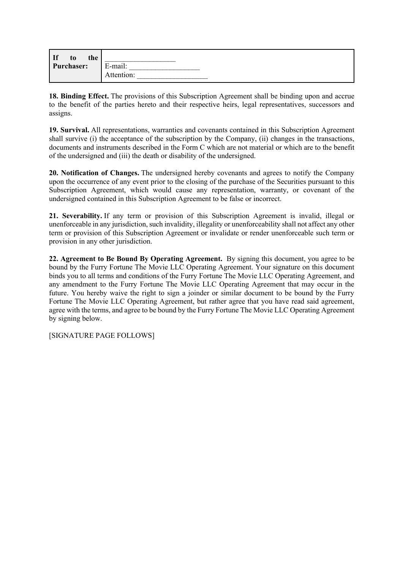| $\vert$ If<br>the<br>t <sub>0</sub> |            |
|-------------------------------------|------------|
| <b>Purchaser:</b>                   | : mail:    |
|                                     | Attention: |

**18. Binding Effect.** The provisions of this Subscription Agreement shall be binding upon and accrue to the benefit of the parties hereto and their respective heirs, legal representatives, successors and assigns.

**19. Survival.** All representations, warranties and covenants contained in this Subscription Agreement shall survive (i) the acceptance of the subscription by the Company, (ii) changes in the transactions, documents and instruments described in the Form C which are not material or which are to the benefit of the undersigned and (iii) the death or disability of the undersigned.

**20. Notification of Changes.** The undersigned hereby covenants and agrees to notify the Company upon the occurrence of any event prior to the closing of the purchase of the Securities pursuant to this Subscription Agreement, which would cause any representation, warranty, or covenant of the undersigned contained in this Subscription Agreement to be false or incorrect.

**21. Severability.** If any term or provision of this Subscription Agreement is invalid, illegal or unenforceable in any jurisdiction, such invalidity, illegality or unenforceability shall not affect any other term or provision of this Subscription Agreement or invalidate or render unenforceable such term or provision in any other jurisdiction.

**22. Agreement to Be Bound By Operating Agreement.** By signing this document, you agree to be bound by the Furry Fortune The Movie LLC Operating Agreement. Your signature on this document binds you to all terms and conditions of the Furry Fortune The Movie LLC Operating Agreement, and any amendment to the Furry Fortune The Movie LLC Operating Agreement that may occur in the future. You hereby waive the right to sign a joinder or similar document to be bound by the Furry Fortune The Movie LLC Operating Agreement, but rather agree that you have read said agreement, agree with the terms, and agree to be bound by the Furry Fortune The Movie LLC Operating Agreement by signing below.

[SIGNATURE PAGE FOLLOWS]